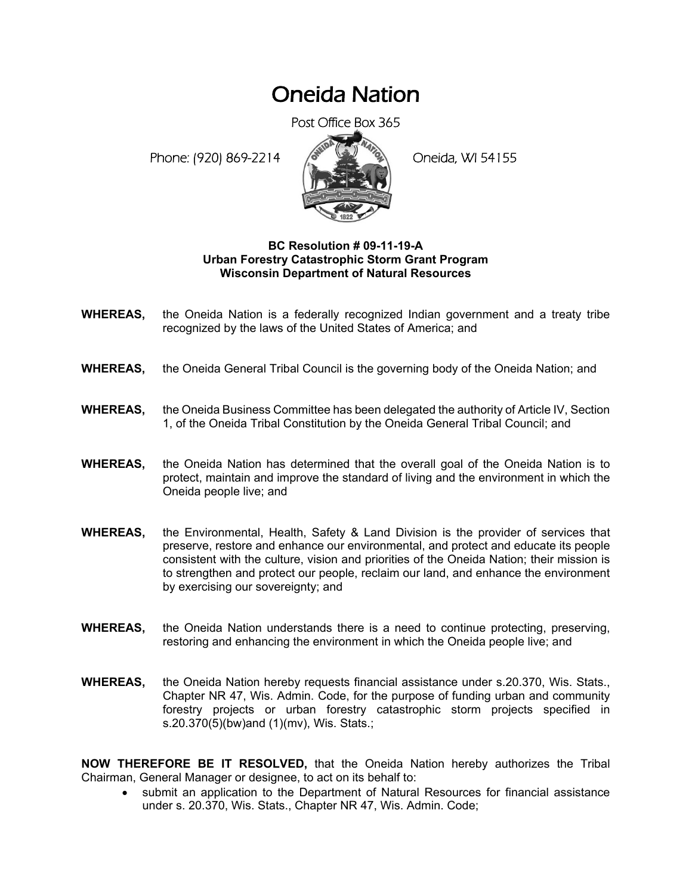## Oneida Nation

Post Office Box 365

Phone: (920) 869-2214 (8 April 194155)



## **BC Resolution # 09-11-19-A Urban Forestry Catastrophic Storm Grant Program Wisconsin Department of Natural Resources**

- **WHEREAS,** the Oneida Nation is a federally recognized Indian government and a treaty tribe recognized by the laws of the United States of America; and
- **WHEREAS,** the Oneida General Tribal Council is the governing body of the Oneida Nation; and
- **WHEREAS,** the Oneida Business Committee has been delegated the authority of Article IV, Section 1, of the Oneida Tribal Constitution by the Oneida General Tribal Council; and
- **WHEREAS,** the Oneida Nation has determined that the overall goal of the Oneida Nation is to protect, maintain and improve the standard of living and the environment in which the Oneida people live; and
- **WHEREAS,** the Environmental, Health, Safety & Land Division is the provider of services that preserve, restore and enhance our environmental, and protect and educate its people consistent with the culture, vision and priorities of the Oneida Nation; their mission is to strengthen and protect our people, reclaim our land, and enhance the environment by exercising our sovereignty; and
- **WHEREAS,** the Oneida Nation understands there is a need to continue protecting, preserving, restoring and enhancing the environment in which the Oneida people live; and
- **WHEREAS,** the Oneida Nation hereby requests financial assistance under s.20.370, Wis. Stats., Chapter NR 47, Wis. Admin. Code, for the purpose of funding urban and community forestry projects or urban forestry catastrophic storm projects specified in s.20.370(5)(bw)and (1)(mv), Wis. Stats.;

**NOW THEREFORE BE IT RESOLVED,** that the Oneida Nation hereby authorizes the Tribal Chairman, General Manager or designee, to act on its behalf to:

• submit an application to the Department of Natural Resources for financial assistance under s. 20.370, Wis. Stats., Chapter NR 47, Wis. Admin. Code;